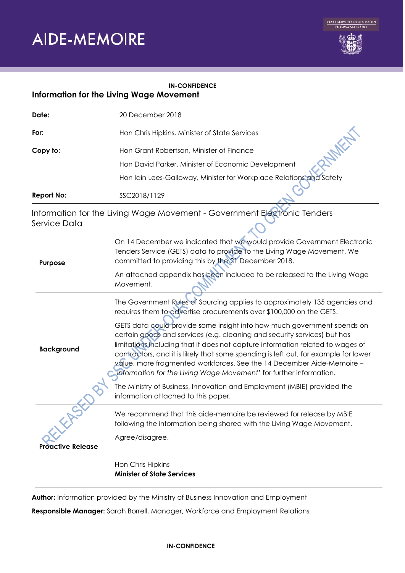# **AIDE-MEMOIRE**





## **IN-CONFIDENCE**

|  |  |  |  | Information for the Living Wage Movement |
|--|--|--|--|------------------------------------------|
|--|--|--|--|------------------------------------------|

| Date:             | 20 December 2018                                                    |
|-------------------|---------------------------------------------------------------------|
| For:              | Hon Chris Hipkins, Minister of State Services                       |
| Copy to:          | Hon Grant Robertson, Minister of Finance                            |
|                   | Hon David Parker, Minister of Economic Development                  |
|                   | Hon Iain Lees-Galloway, Minister for Workplace Relations and Safety |
| <b>Report No:</b> | SSC2018/1129                                                        |

Information for the Living Wage Movement - Government Electronic Tenders Service Data

| Purpose                                | On 14 December we indicated that we would provide Government Electronic<br>Tenders Service (GETS) data to provide to the Living Wage Movement. We<br>committed to providing this by the 21 December 2018.<br>An attached appendix has been included to be released to the Living Wage<br>Movement.                                                                                                                                                                                                                                                                                                                                                                                                                                                 |
|----------------------------------------|----------------------------------------------------------------------------------------------------------------------------------------------------------------------------------------------------------------------------------------------------------------------------------------------------------------------------------------------------------------------------------------------------------------------------------------------------------------------------------------------------------------------------------------------------------------------------------------------------------------------------------------------------------------------------------------------------------------------------------------------------|
| <b>Background</b>                      | The Government Rules of Sourcing applies to approximately 135 agencies and<br>requires them to advertise procurements over \$100,000 on the GETS.<br>GETS data could provide some insight into how much government spends on<br>certain goods and services (e.g. cleaning and security services) but has<br>limitations including that it does not capture information related to wages of<br>contractors, and it is likely that some spending is left out, for example for lower<br>value, more fragmented workforces. See the 14 December Aide-Memoire -<br>Information for the Living Wage Movement' for further information.<br>The Ministry of Business, Innovation and Employment (MBIE) provided the<br>information attached to this paper. |
| $\ddot{x}$<br><b>Proactive Release</b> | We recommend that this aide-memoire be reviewed for release by MBIE<br>following the information being shared with the Living Wage Movement.<br>Agree/disagree.<br>Hon Chris Hipkins<br><b>Minister of State Services</b>                                                                                                                                                                                                                                                                                                                                                                                                                                                                                                                          |

**Author:** Information provided by the Ministry of Business Innovation and Employment

**Responsible Manager:** Sarah Borrell, Manager, Workforce and Employment Relations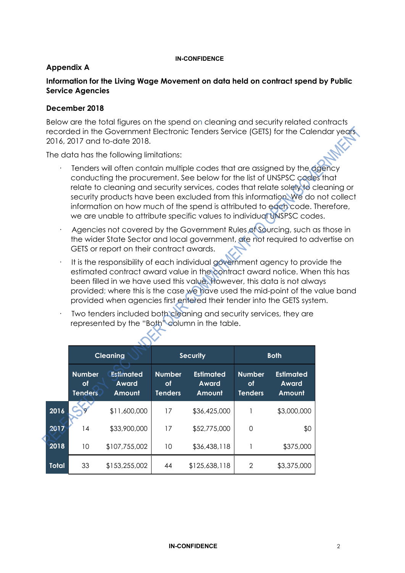#### **IN-CONFIDENCE**

### **Appendix A**

## **Information for the Living Wage Movement on data held on contract spend by Public Service Agencies**

#### **December 2018**

Below are the total figures on the spend on cleaning and security related contracts recorded in the Government Electronic Tenders Service (GETS) for the Calendar years 2016, 2017 and to-date 2018.

The data has the following limitations:

- Tenders will often contain multiple codes that are assigned by the agency conducting the procurement. See below for the list of UNSPSC codes that relate to cleaning and security services, codes that relate solely to cleaning or security products have been excluded from this information. We do not collect information on how much of the spend is attributed to each code. Therefore, we are unable to attribute specific values to individual UNSPSC codes.
- · Agencies not covered by the Government Rules of Sourcing, such as those in the wider State Sector and local government, are not required to advertise on GETS or report on their contract awards.
- · It is the responsibility of each individual government agency to provide the estimated contract award value in the contract award notice. When this has been filled in we have used this value. However, this data is not always provided; where this is the case we have used the mid-point of the value band provided when agencies first entered their tender into the GETS system.
- Two tenders included both cleaning and security services, they are represented by the "Both" column in the table.

|              | <b>Cleaning</b>                              |                                            | <b>Security</b>                       |                                     | <b>Both</b>                           |                                     |
|--------------|----------------------------------------------|--------------------------------------------|---------------------------------------|-------------------------------------|---------------------------------------|-------------------------------------|
|              | <b>Number</b><br><b>of</b><br><b>Tenders</b> | <b>Estimated</b><br><b>Award</b><br>Amount | <b>Number</b><br>οf<br><b>Tenders</b> | <b>Estimated</b><br>Award<br>Amount | <b>Number</b><br>οf<br><b>Tenders</b> | <b>Estimated</b><br>Award<br>Amount |
| 2016         |                                              | \$11,600,000                               | 17                                    | \$36,425,000                        |                                       | \$3,000,000                         |
| 2017         | 14                                           | \$33,900,000                               | 17                                    | \$52,775,000                        | 0                                     | \$0                                 |
| 2018         | 10                                           | \$107,755,002                              | 10                                    | \$36,438,118                        |                                       | \$375,000                           |
| <b>Total</b> | 33                                           | \$153,255,002                              | 44                                    | \$125,638,118                       | $\mathcal{P}$                         | \$3,375,000                         |